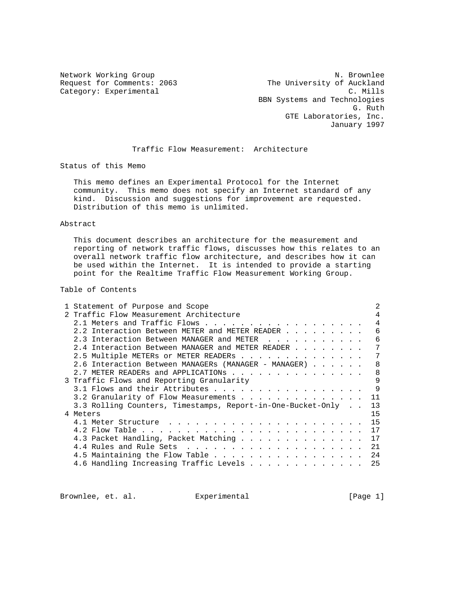Category: Experimental

Network Working Group N. Brownlee Request for Comments: 2063 The University of Auckland<br>Category: Experimental C. Mills BBN Systems and Technologies G. Ruth Contract of the Contract of the Contract of the Contract of the Contract of the Contract of the Contract of the Contract of the Contract of the Contract of the Contract of the Contract of the Contract of the Contra GTE Laboratories, Inc. January 1997

#### Traffic Flow Measurement: Architecture

Status of this Memo

 This memo defines an Experimental Protocol for the Internet community. This memo does not specify an Internet standard of any kind. Discussion and suggestions for improvement are requested. Distribution of this memo is unlimited.

### Abstract

 This document describes an architecture for the measurement and reporting of network traffic flows, discusses how this relates to an overall network traffic flow architecture, and describes how it can be used within the Internet. It is intended to provide a starting point for the Realtime Traffic Flow Measurement Working Group.

# Table of Contents

| 1 Statement of Purpose and Scope |                                                             |  |    |
|----------------------------------|-------------------------------------------------------------|--|----|
|                                  | 2 Traffic Flow Measurement Architecture                     |  |    |
|                                  | 2.1 Meters and Traffic Flows                                |  | 4  |
|                                  | 2.2 Interaction Between METER and METER READER              |  | 6  |
|                                  | 2.3 Interaction Between MANAGER and METER                   |  | 6  |
|                                  | 2.4 Interaction Between MANAGER and METER READER            |  | 7  |
|                                  | 2.5 Multiple METERs or METER READERs                        |  | 7  |
|                                  | 2.6 Interaction Between MANAGERs (MANAGER - MANAGER)        |  | 8  |
|                                  | 2.7 METER READERS and APPLICATIONS                          |  | 8  |
|                                  | 3 Traffic Flows and Reporting Granularity                   |  | 9  |
|                                  | 3.1 Flows and their Attributes                              |  | 9  |
|                                  | 3.2 Granularity of Flow Measurements                        |  | 11 |
|                                  | 3.3 Rolling Counters, Timestamps, Report-in-One-Bucket-Only |  | 13 |
| 4 Meters                         |                                                             |  | 15 |
|                                  |                                                             |  | 15 |
|                                  |                                                             |  | 17 |
|                                  | 4.3 Packet Handling, Packet Matching                        |  | 17 |
|                                  |                                                             |  | 21 |
|                                  |                                                             |  | 24 |
|                                  | 4.6 Handling Increasing Traffic Levels                      |  | 25 |

Brownlee, et. al. Experimental [Page 1]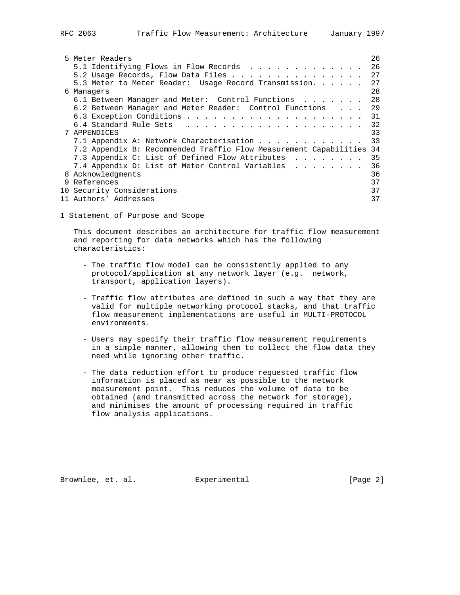| 5 Meter Readers                                                   | 26 |
|-------------------------------------------------------------------|----|
| 5.1 Identifying Flows in Flow Records                             | 26 |
| 5.2 Usage Records, Flow Data Files                                | 27 |
| 5.3 Meter to Meter Reader: Usage Record Transmission              | 27 |
| 6 Managers                                                        | 28 |
| 6.1 Between Manager and Meter: Control Functions                  | 28 |
| 6.2 Between Manager and Meter Reader: Control Functions           | 29 |
|                                                                   | 31 |
|                                                                   | 32 |
| 7 APPENDICES                                                      | 33 |
| 7.1 Appendix A: Network Characterisation                          | 33 |
| 7.2 Appendix B: Recommended Traffic Flow Measurement Capabilities | 34 |
| 7.3 Appendix C: List of Defined Flow Attributes                   | 35 |
| 7.4 Appendix D: List of Meter Control Variables                   | 36 |
| 8 Acknowledgments                                                 | 36 |
| 9 References                                                      | 37 |
| 10 Security Considerations                                        | 37 |
| 11 Authors' Addresses                                             | 37 |

1 Statement of Purpose and Scope

 This document describes an architecture for traffic flow measurement and reporting for data networks which has the following characteristics:

- The traffic flow model can be consistently applied to any protocol/application at any network layer (e.g. network, transport, application layers).
- Traffic flow attributes are defined in such a way that they are valid for multiple networking protocol stacks, and that traffic flow measurement implementations are useful in MULTI-PROTOCOL environments.
- Users may specify their traffic flow measurement requirements in a simple manner, allowing them to collect the flow data they need while ignoring other traffic.
- The data reduction effort to produce requested traffic flow information is placed as near as possible to the network measurement point. This reduces the volume of data to be obtained (and transmitted across the network for storage), and minimises the amount of processing required in traffic flow analysis applications.

Brownlee, et. al. Experimental [Page 2]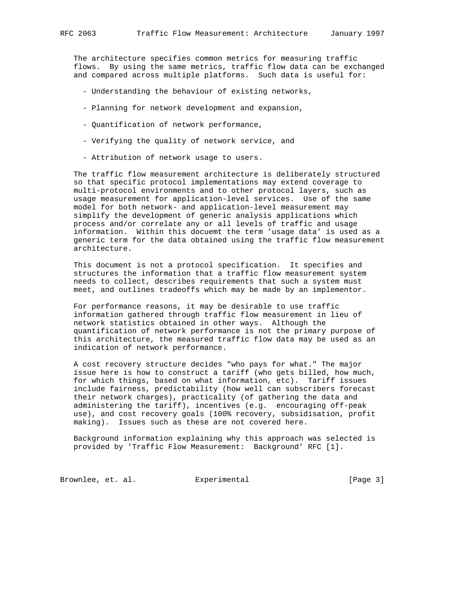The architecture specifies common metrics for measuring traffic flows. By using the same metrics, traffic flow data can be exchanged and compared across multiple platforms. Such data is useful for:

- Understanding the behaviour of existing networks,
- Planning for network development and expansion,
- Quantification of network performance,
- Verifying the quality of network service, and
- Attribution of network usage to users.

 The traffic flow measurement architecture is deliberately structured so that specific protocol implementations may extend coverage to multi-protocol environments and to other protocol layers, such as usage measurement for application-level services. Use of the same model for both network- and application-level measurement may simplify the development of generic analysis applications which process and/or correlate any or all levels of traffic and usage information. Within this docuemt the term 'usage data' is used as a generic term for the data obtained using the traffic flow measurement architecture.

 This document is not a protocol specification. It specifies and structures the information that a traffic flow measurement system needs to collect, describes requirements that such a system must meet, and outlines tradeoffs which may be made by an implementor.

 For performance reasons, it may be desirable to use traffic information gathered through traffic flow measurement in lieu of network statistics obtained in other ways. Although the quantification of network performance is not the primary purpose of this architecture, the measured traffic flow data may be used as an indication of network performance.

 A cost recovery structure decides "who pays for what." The major issue here is how to construct a tariff (who gets billed, how much, for which things, based on what information, etc). Tariff issues include fairness, predictability (how well can subscribers forecast their network charges), practicality (of gathering the data and administering the tariff), incentives (e.g. encouraging off-peak use), and cost recovery goals (100% recovery, subsidisation, profit making). Issues such as these are not covered here.

 Background information explaining why this approach was selected is provided by 'Traffic Flow Measurement: Background' RFC [1].

Brownlee, et. al. Experimental [Page 3]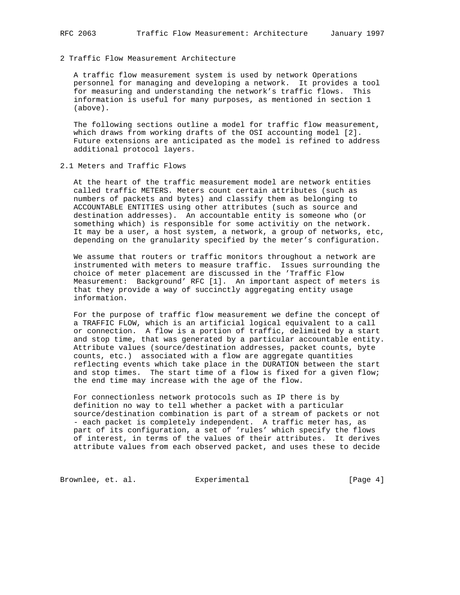2 Traffic Flow Measurement Architecture

 A traffic flow measurement system is used by network Operations personnel for managing and developing a network. It provides a tool for measuring and understanding the network's traffic flows. This information is useful for many purposes, as mentioned in section 1 (above).

 The following sections outline a model for traffic flow measurement, which draws from working drafts of the OSI accounting model [2]. Future extensions are anticipated as the model is refined to address additional protocol layers.

2.1 Meters and Traffic Flows

 At the heart of the traffic measurement model are network entities called traffic METERS. Meters count certain attributes (such as numbers of packets and bytes) and classify them as belonging to ACCOUNTABLE ENTITIES using other attributes (such as source and destination addresses). An accountable entity is someone who (or something which) is responsible for some activitiy on the network. It may be a user, a host system, a network, a group of networks, etc, depending on the granularity specified by the meter's configuration.

 We assume that routers or traffic monitors throughout a network are instrumented with meters to measure traffic. Issues surrounding the choice of meter placement are discussed in the 'Traffic Flow Measurement: Background' RFC [1]. An important aspect of meters is that they provide a way of succinctly aggregating entity usage information.

 For the purpose of traffic flow measurement we define the concept of a TRAFFIC FLOW, which is an artificial logical equivalent to a call or connection. A flow is a portion of traffic, delimited by a start and stop time, that was generated by a particular accountable entity. Attribute values (source/destination addresses, packet counts, byte counts, etc.) associated with a flow are aggregate quantities reflecting events which take place in the DURATION between the start and stop times. The start time of a flow is fixed for a given flow; the end time may increase with the age of the flow.

 For connectionless network protocols such as IP there is by definition no way to tell whether a packet with a particular source/destination combination is part of a stream of packets or not - each packet is completely independent. A traffic meter has, as part of its configuration, a set of 'rules' which specify the flows of interest, in terms of the values of their attributes. It derives attribute values from each observed packet, and uses these to decide

Brownlee, et. al. Experimental [Page 4]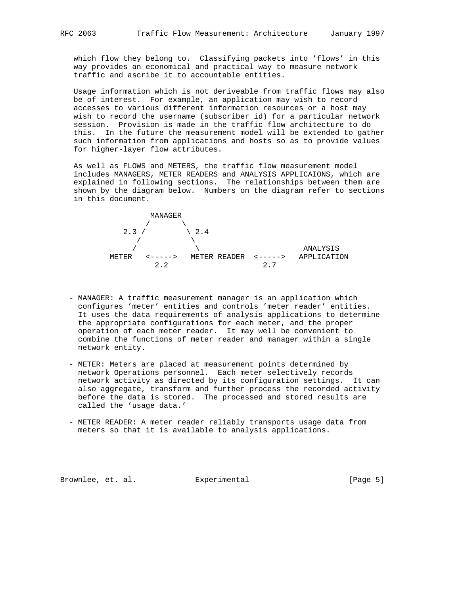which flow they belong to. Classifying packets into 'flows' in this way provides an economical and practical way to measure network traffic and ascribe it to accountable entities.

 Usage information which is not deriveable from traffic flows may also be of interest. For example, an application may wish to record accesses to various different information resources or a host may wish to record the username (subscriber id) for a particular network session. Provision is made in the traffic flow architecture to do this. In the future the measurement model will be extended to gather such information from applications and hosts so as to provide values for higher-layer flow attributes.

 As well as FLOWS and METERS, the traffic flow measurement model includes MANAGERS, METER READERS and ANALYSIS APPLICAIONS, which are explained in following sections. The relationships between them are shown by the diagram below. Numbers on the diagram refer to sections in this document.



- MANAGER: A traffic measurement manager is an application which configures 'meter' entities and controls 'meter reader' entities. It uses the data requirements of analysis applications to determine the appropriate configurations for each meter, and the proper operation of each meter reader. It may well be convenient to combine the functions of meter reader and manager within a single network entity.
- METER: Meters are placed at measurement points determined by network Operations personnel. Each meter selectively records network activity as directed by its configuration settings. It can also aggregate, transform and further process the recorded activity before the data is stored. The processed and stored results are called the 'usage data.'
- METER READER: A meter reader reliably transports usage data from meters so that it is available to analysis applications.

Brownlee, et. al. Experimental [Page 5]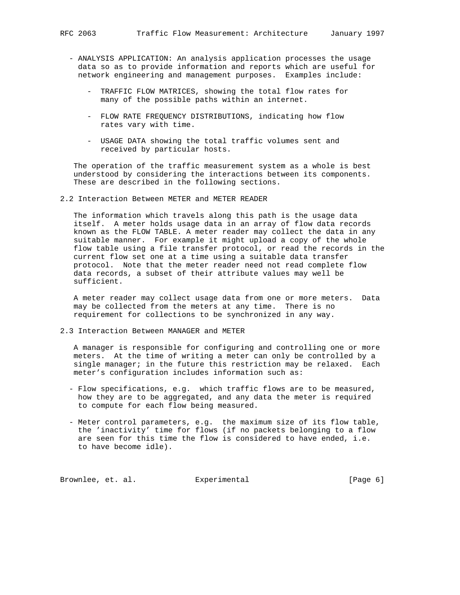- ANALYSIS APPLICATION: An analysis application processes the usage data so as to provide information and reports which are useful for network engineering and management purposes. Examples include:
	- TRAFFIC FLOW MATRICES, showing the total flow rates for many of the possible paths within an internet.
	- FLOW RATE FREQUENCY DISTRIBUTIONS, indicating how flow rates vary with time.
	- USAGE DATA showing the total traffic volumes sent and received by particular hosts.

 The operation of the traffic measurement system as a whole is best understood by considering the interactions between its components. These are described in the following sections.

2.2 Interaction Between METER and METER READER

 The information which travels along this path is the usage data itself. A meter holds usage data in an array of flow data records known as the FLOW TABLE. A meter reader may collect the data in any suitable manner. For example it might upload a copy of the whole flow table using a file transfer protocol, or read the records in the current flow set one at a time using a suitable data transfer protocol. Note that the meter reader need not read complete flow data records, a subset of their attribute values may well be sufficient.

 A meter reader may collect usage data from one or more meters. Data may be collected from the meters at any time. There is no requirement for collections to be synchronized in any way.

2.3 Interaction Between MANAGER and METER

 A manager is responsible for configuring and controlling one or more meters. At the time of writing a meter can only be controlled by a single manager; in the future this restriction may be relaxed. Each meter's configuration includes information such as:

- Flow specifications, e.g. which traffic flows are to be measured, how they are to be aggregated, and any data the meter is required to compute for each flow being measured.
- Meter control parameters, e.g. the maximum size of its flow table, the 'inactivity' time for flows (if no packets belonging to a flow are seen for this time the flow is considered to have ended, i.e. to have become idle).

Brownlee, et. al. Experimental [Page 6]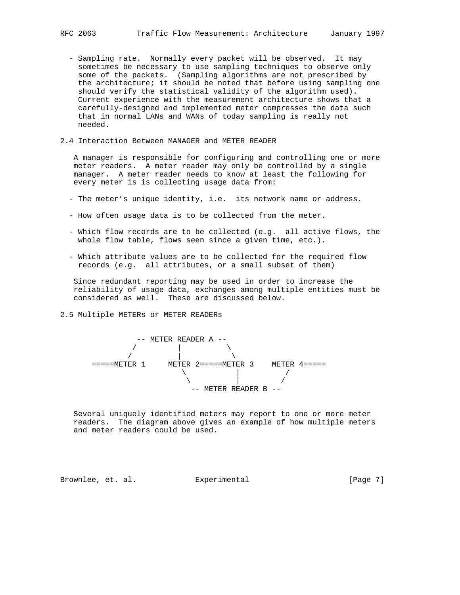- Sampling rate. Normally every packet will be observed. It may sometimes be necessary to use sampling techniques to observe only some of the packets. (Sampling algorithms are not prescribed by the architecture; it should be noted that before using sampling one should verify the statistical validity of the algorithm used). Current experience with the measurement architecture shows that a carefully-designed and implemented meter compresses the data such that in normal LANs and WANs of today sampling is really not needed.
- 2.4 Interaction Between MANAGER and METER READER

 A manager is responsible for configuring and controlling one or more meter readers. A meter reader may only be controlled by a single manager. A meter reader needs to know at least the following for every meter is is collecting usage data from:

- The meter's unique identity, i.e. its network name or address.
- How often usage data is to be collected from the meter.
- Which flow records are to be collected (e.g. all active flows, the whole flow table, flows seen since a given time, etc.).
- Which attribute values are to be collected for the required flow records (e.g. all attributes, or a small subset of them)

 Since redundant reporting may be used in order to increase the reliability of usage data, exchanges among multiple entities must be considered as well. These are discussed below.

2.5 Multiple METERs or METER READERs



 Several uniquely identified meters may report to one or more meter readers. The diagram above gives an example of how multiple meters and meter readers could be used.

Brownlee, et. al. Experimental [Page 7]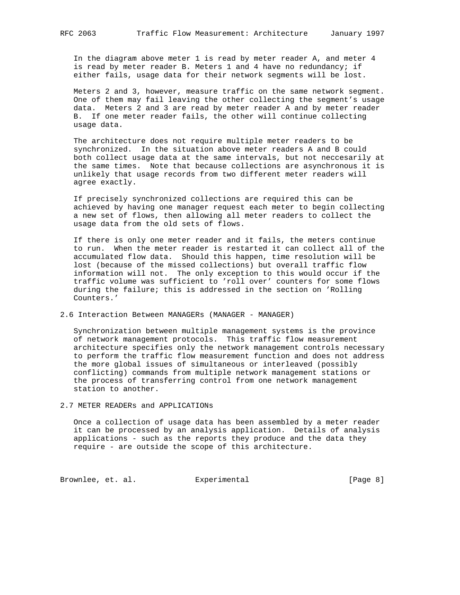In the diagram above meter 1 is read by meter reader A, and meter 4 is read by meter reader B. Meters 1 and 4 have no redundancy; if either fails, usage data for their network segments will be lost.

 Meters 2 and 3, however, measure traffic on the same network segment. One of them may fail leaving the other collecting the segment's usage data. Meters 2 and 3 are read by meter reader A and by meter reader B. If one meter reader fails, the other will continue collecting usage data.

 The architecture does not require multiple meter readers to be synchronized. In the situation above meter readers A and B could both collect usage data at the same intervals, but not neccesarily at the same times. Note that because collections are asynchronous it is unlikely that usage records from two different meter readers will agree exactly.

 If precisely synchronized collections are required this can be achieved by having one manager request each meter to begin collecting a new set of flows, then allowing all meter readers to collect the usage data from the old sets of flows.

 If there is only one meter reader and it fails, the meters continue to run. When the meter reader is restarted it can collect all of the accumulated flow data. Should this happen, time resolution will be lost (because of the missed collections) but overall traffic flow information will not. The only exception to this would occur if the traffic volume was sufficient to 'roll over' counters for some flows during the failure; this is addressed in the section on 'Rolling Counters.'

2.6 Interaction Between MANAGERs (MANAGER - MANAGER)

 Synchronization between multiple management systems is the province of network management protocols. This traffic flow measurement architecture specifies only the network management controls necessary to perform the traffic flow measurement function and does not address the more global issues of simultaneous or interleaved (possibly conflicting) commands from multiple network management stations or the process of transferring control from one network management station to another.

2.7 METER READERs and APPLICATIONs

 Once a collection of usage data has been assembled by a meter reader it can be processed by an analysis application. Details of analysis applications - such as the reports they produce and the data they require - are outside the scope of this architecture.

Brownlee, et. al. Experimental Formula (Page 8)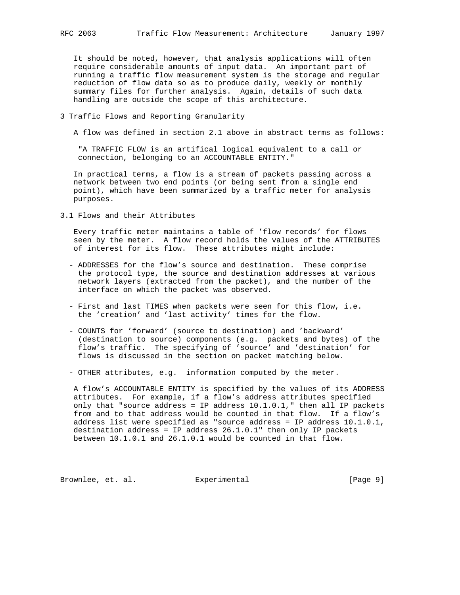It should be noted, however, that analysis applications will often require considerable amounts of input data. An important part of running a traffic flow measurement system is the storage and regular reduction of flow data so as to produce daily, weekly or monthly summary files for further analysis. Again, details of such data handling are outside the scope of this architecture.

### 3 Traffic Flows and Reporting Granularity

A flow was defined in section 2.1 above in abstract terms as follows:

 "A TRAFFIC FLOW is an artifical logical equivalent to a call or connection, belonging to an ACCOUNTABLE ENTITY."

 In practical terms, a flow is a stream of packets passing across a network between two end points (or being sent from a single end point), which have been summarized by a traffic meter for analysis purposes.

3.1 Flows and their Attributes

 Every traffic meter maintains a table of 'flow records' for flows seen by the meter. A flow record holds the values of the ATTRIBUTES of interest for its flow. These attributes might include:

- ADDRESSES for the flow's source and destination. These comprise the protocol type, the source and destination addresses at various network layers (extracted from the packet), and the number of the interface on which the packet was observed.
- First and last TIMES when packets were seen for this flow, i.e. the 'creation' and 'last activity' times for the flow.
- COUNTS for 'forward' (source to destination) and 'backward' (destination to source) components (e.g. packets and bytes) of the flow's traffic. The specifying of 'source' and 'destination' for flows is discussed in the section on packet matching below.

- OTHER attributes, e.g. information computed by the meter.

 A flow's ACCOUNTABLE ENTITY is specified by the values of its ADDRESS attributes. For example, if a flow's address attributes specified only that "source address = IP address 10.1.0.1," then all IP packets from and to that address would be counted in that flow. If a flow's address list were specified as "source address = IP address  $10.1.0.1$ , destination address = IP address  $26.1.0.1$ " then only IP packets between 10.1.0.1 and 26.1.0.1 would be counted in that flow.

Brownlee, et. al. Experimental [Page 9]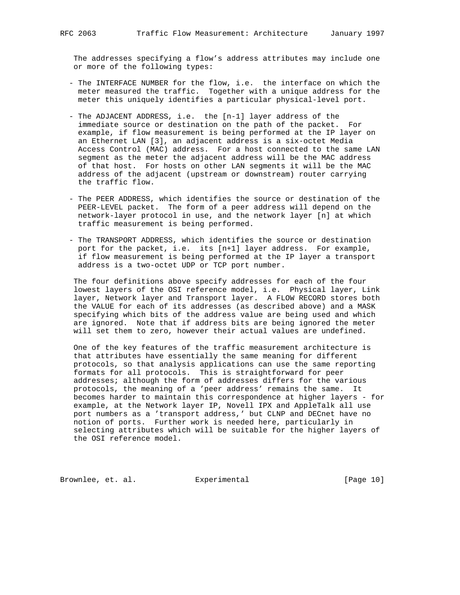The addresses specifying a flow's address attributes may include one or more of the following types:

- The INTERFACE NUMBER for the flow, i.e. the interface on which the meter measured the traffic. Together with a unique address for the meter this uniquely identifies a particular physical-level port.
- The ADJACENT ADDRESS, i.e. the [n-1] layer address of the immediate source or destination on the path of the packet. For example, if flow measurement is being performed at the IP layer on an Ethernet LAN [3], an adjacent address is a six-octet Media Access Control (MAC) address. For a host connected to the same LAN segment as the meter the adjacent address will be the MAC address of that host. For hosts on other LAN segments it will be the MAC address of the adjacent (upstream or downstream) router carrying the traffic flow.
- The PEER ADDRESS, which identifies the source or destination of the PEER-LEVEL packet. The form of a peer address will depend on the network-layer protocol in use, and the network layer [n] at which traffic measurement is being performed.
- The TRANSPORT ADDRESS, which identifies the source or destination port for the packet, i.e. its [n+1] layer address. For example, if flow measurement is being performed at the IP layer a transport address is a two-octet UDP or TCP port number.

 The four definitions above specify addresses for each of the four lowest layers of the OSI reference model, i.e. Physical layer, Link layer, Network layer and Transport layer. A FLOW RECORD stores both the VALUE for each of its addresses (as described above) and a MASK specifying which bits of the address value are being used and which are ignored. Note that if address bits are being ignored the meter will set them to zero, however their actual values are undefined.

 One of the key features of the traffic measurement architecture is that attributes have essentially the same meaning for different protocols, so that analysis applications can use the same reporting formats for all protocols. This is straightforward for peer addresses; although the form of addresses differs for the various protocols, the meaning of a 'peer address' remains the same. It becomes harder to maintain this correspondence at higher layers - for example, at the Network layer IP, Novell IPX and AppleTalk all use port numbers as a 'transport address,' but CLNP and DECnet have no notion of ports. Further work is needed here, particularly in selecting attributes which will be suitable for the higher layers of the OSI reference model.

Brownlee, et. al. Experimental [Page 10]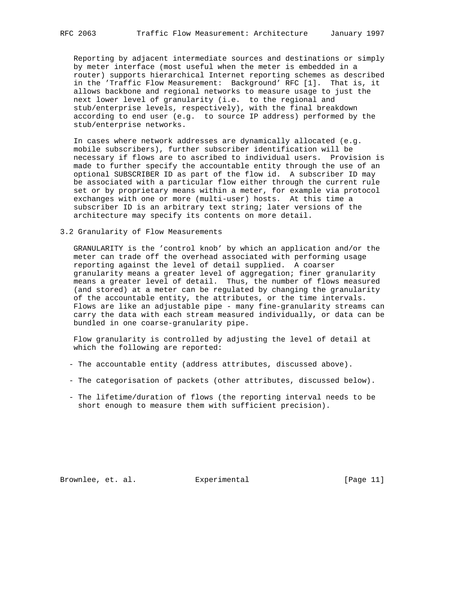Reporting by adjacent intermediate sources and destinations or simply by meter interface (most useful when the meter is embedded in a router) supports hierarchical Internet reporting schemes as described in the 'Traffic Flow Measurement: Background' RFC [1]. That is, it allows backbone and regional networks to measure usage to just the next lower level of granularity (i.e. to the regional and stub/enterprise levels, respectively), with the final breakdown according to end user (e.g. to source IP address) performed by the stub/enterprise networks.

 In cases where network addresses are dynamically allocated (e.g. mobile subscribers), further subscriber identification will be necessary if flows are to ascribed to individual users. Provision is made to further specify the accountable entity through the use of an optional SUBSCRIBER ID as part of the flow id. A subscriber ID may be associated with a particular flow either through the current rule set or by proprietary means within a meter, for example via protocol exchanges with one or more (multi-user) hosts. At this time a subscriber ID is an arbitrary text string; later versions of the architecture may specify its contents on more detail.

## 3.2 Granularity of Flow Measurements

 GRANULARITY is the 'control knob' by which an application and/or the meter can trade off the overhead associated with performing usage reporting against the level of detail supplied. A coarser granularity means a greater level of aggregation; finer granularity means a greater level of detail. Thus, the number of flows measured (and stored) at a meter can be regulated by changing the granularity of the accountable entity, the attributes, or the time intervals. Flows are like an adjustable pipe - many fine-granularity streams can carry the data with each stream measured individually, or data can be bundled in one coarse-granularity pipe.

 Flow granularity is controlled by adjusting the level of detail at which the following are reported:

- The accountable entity (address attributes, discussed above).
- The categorisation of packets (other attributes, discussed below).
- The lifetime/duration of flows (the reporting interval needs to be short enough to measure them with sufficient precision).

Brownlee, et. al. Experimental [Page 11]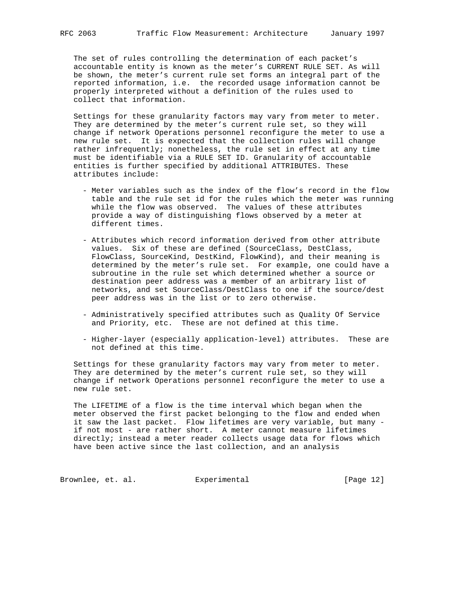The set of rules controlling the determination of each packet's accountable entity is known as the meter's CURRENT RULE SET. As will be shown, the meter's current rule set forms an integral part of the reported information, i.e. the recorded usage information cannot be properly interpreted without a definition of the rules used to collect that information.

 Settings for these granularity factors may vary from meter to meter. They are determined by the meter's current rule set, so they will change if network Operations personnel reconfigure the meter to use a new rule set. It is expected that the collection rules will change rather infrequently; nonetheless, the rule set in effect at any time must be identifiable via a RULE SET ID. Granularity of accountable entities is further specified by additional ATTRIBUTES. These attributes include:

- Meter variables such as the index of the flow's record in the flow table and the rule set id for the rules which the meter was running while the flow was observed. The values of these attributes provide a way of distinguishing flows observed by a meter at different times.
- Attributes which record information derived from other attribute values. Six of these are defined (SourceClass, DestClass, FlowClass, SourceKind, DestKind, FlowKind), and their meaning is determined by the meter's rule set. For example, one could have a subroutine in the rule set which determined whether a source or destination peer address was a member of an arbitrary list of networks, and set SourceClass/DestClass to one if the source/dest peer address was in the list or to zero otherwise.
- Administratively specified attributes such as Quality Of Service and Priority, etc. These are not defined at this time.
- Higher-layer (especially application-level) attributes. These are not defined at this time.

 Settings for these granularity factors may vary from meter to meter. They are determined by the meter's current rule set, so they will change if network Operations personnel reconfigure the meter to use a new rule set.

 The LIFETIME of a flow is the time interval which began when the meter observed the first packet belonging to the flow and ended when it saw the last packet. Flow lifetimes are very variable, but many if not most - are rather short. A meter cannot measure lifetimes directly; instead a meter reader collects usage data for flows which have been active since the last collection, and an analysis

Brownlee, et. al. Experimental [Page 12]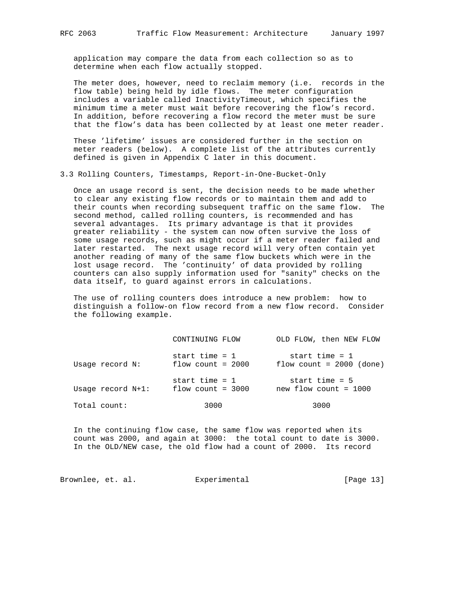application may compare the data from each collection so as to determine when each flow actually stopped.

 The meter does, however, need to reclaim memory (i.e. records in the flow table) being held by idle flows. The meter configuration includes a variable called InactivityTimeout, which specifies the minimum time a meter must wait before recovering the flow's record. In addition, before recovering a flow record the meter must be sure that the flow's data has been collected by at least one meter reader.

 These 'lifetime' issues are considered further in the section on meter readers (below). A complete list of the attributes currently defined is given in Appendix C later in this document.

### 3.3 Rolling Counters, Timestamps, Report-in-One-Bucket-Only

 Once an usage record is sent, the decision needs to be made whether to clear any existing flow records or to maintain them and add to their counts when recording subsequent traffic on the same flow. The second method, called rolling counters, is recommended and has several advantages. Its primary advantage is that it provides greater reliability - the system can now often survive the loss of some usage records, such as might occur if a meter reader failed and later restarted. The next usage record will very often contain yet another reading of many of the same flow buckets which were in the lost usage record. The 'continuity' of data provided by rolling counters can also supply information used for "sanity" checks on the data itself, to guard against errors in calculations.

 The use of rolling counters does introduce a new problem: how to distinguish a follow-on flow record from a new flow record. Consider the following example.

|                   | CONTINUING FLOW                         | OLD FLOW, then NEW FLOW                        |
|-------------------|-----------------------------------------|------------------------------------------------|
| Usage record N:   | start time = $1$<br>flow count = $2000$ | start time = $1$<br>flow count = $2000$ (done) |
| Usage record N+1: | start time = $1$<br>flow count = $3000$ | start time = $5$<br>$new$ flow count = 1000    |
| Total count:      | 3000                                    | 3000                                           |

 In the continuing flow case, the same flow was reported when its count was 2000, and again at 3000: the total count to date is 3000. In the OLD/NEW case, the old flow had a count of 2000. Its record

Brownlee, et. al. Experimental [Page 13]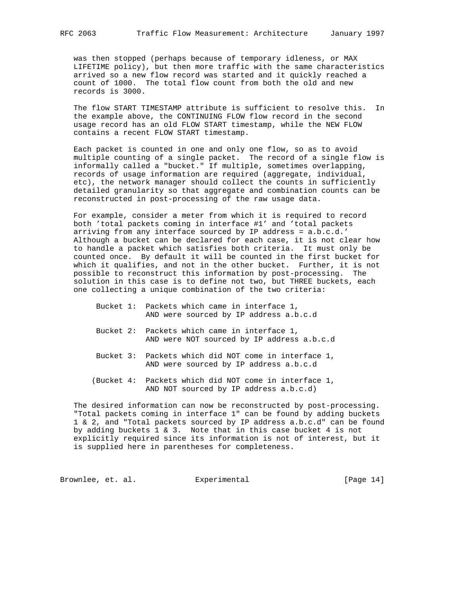was then stopped (perhaps because of temporary idleness, or MAX LIFETIME policy), but then more traffic with the same characteristics arrived so a new flow record was started and it quickly reached a count of 1000. The total flow count from both the old and new records is 3000.

 The flow START TIMESTAMP attribute is sufficient to resolve this. In the example above, the CONTINUING FLOW flow record in the second usage record has an old FLOW START timestamp, while the NEW FLOW contains a recent FLOW START timestamp.

 Each packet is counted in one and only one flow, so as to avoid multiple counting of a single packet. The record of a single flow is informally called a "bucket." If multiple, sometimes overlapping, records of usage information are required (aggregate, individual, etc), the network manager should collect the counts in sufficiently detailed granularity so that aggregate and combination counts can be reconstructed in post-processing of the raw usage data.

 For example, consider a meter from which it is required to record both 'total packets coming in interface #1' and 'total packets arriving from any interface sourced by IP address = a.b.c.d.' Although a bucket can be declared for each case, it is not clear how to handle a packet which satisfies both criteria. It must only be counted once. By default it will be counted in the first bucket for which it qualifies, and not in the other bucket. Further, it is not possible to reconstruct this information by post-processing. The solution in this case is to define not two, but THREE buckets, each one collecting a unique combination of the two criteria:

- Bucket 1: Packets which came in interface 1, AND were sourced by IP address a.b.c.d
- Bucket 2: Packets which came in interface 1, AND were NOT sourced by IP address a.b.c.d
- Bucket 3: Packets which did NOT come in interface 1, AND were sourced by IP address a.b.c.d
- (Bucket 4: Packets which did NOT come in interface 1, AND NOT sourced by IP address a.b.c.d)

 The desired information can now be reconstructed by post-processing. "Total packets coming in interface 1" can be found by adding buckets 1 & 2, and "Total packets sourced by IP address a.b.c.d" can be found by adding buckets  $1 \& 3$ . Note that in this case bucket  $4$  is not explicitly required since its information is not of interest, but it is supplied here in parentheses for completeness.

Brownlee, et. al. Experimental [Page 14]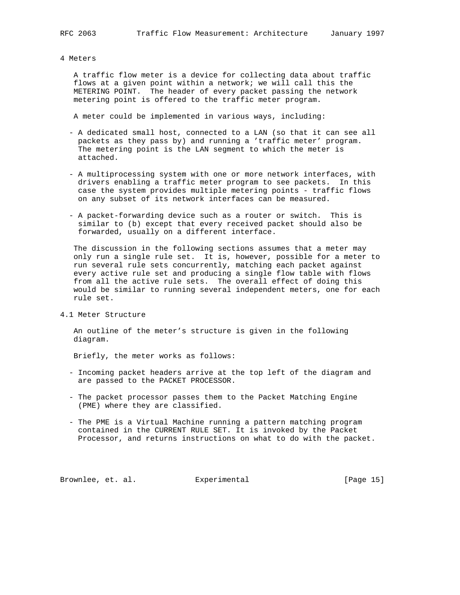#### 4 Meters

 A traffic flow meter is a device for collecting data about traffic flows at a given point within a network; we will call this the METERING POINT. The header of every packet passing the network metering point is offered to the traffic meter program.

A meter could be implemented in various ways, including:

- A dedicated small host, connected to a LAN (so that it can see all packets as they pass by) and running a 'traffic meter' program. The metering point is the LAN segment to which the meter is attached.
- A multiprocessing system with one or more network interfaces, with drivers enabling a traffic meter program to see packets. In this case the system provides multiple metering points - traffic flows on any subset of its network interfaces can be measured.
- A packet-forwarding device such as a router or switch. This is similar to (b) except that every received packet should also be forwarded, usually on a different interface.

 The discussion in the following sections assumes that a meter may only run a single rule set. It is, however, possible for a meter to run several rule sets concurrently, matching each packet against every active rule set and producing a single flow table with flows from all the active rule sets. The overall effect of doing this would be similar to running several independent meters, one for each rule set.

4.1 Meter Structure

 An outline of the meter's structure is given in the following diagram.

Briefly, the meter works as follows:

- Incoming packet headers arrive at the top left of the diagram and are passed to the PACKET PROCESSOR.
- The packet processor passes them to the Packet Matching Engine (PME) where they are classified.
- The PME is a Virtual Machine running a pattern matching program contained in the CURRENT RULE SET. It is invoked by the Packet Processor, and returns instructions on what to do with the packet.

Brownlee, et. al. Experimental [Page 15]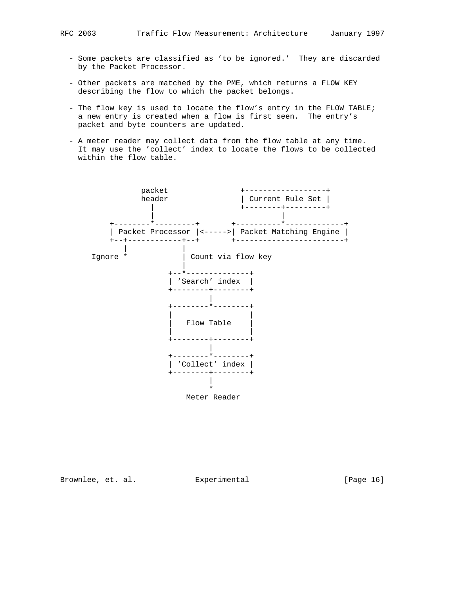- Some packets are classified as 'to be ignored.' They are discarded by the Packet Processor.
- Other packets are matched by the PME, which returns a FLOW KEY describing the flow to which the packet belongs.
- The flow key is used to locate the flow's entry in the FLOW TABLE; a new entry is created when a flow is first seen. The entry's packet and byte counters are updated.
- A meter reader may collect data from the flow table at any time. It may use the 'collect' index to locate the flows to be collected within the flow table.



Brownlee, et. al. Experimental [Page 16]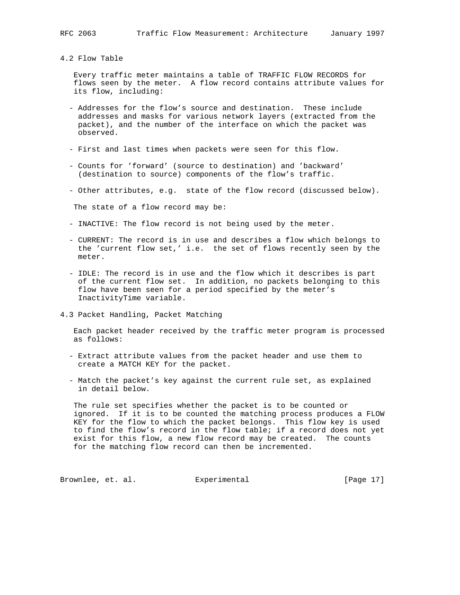#### 4.2 Flow Table

 Every traffic meter maintains a table of TRAFFIC FLOW RECORDS for flows seen by the meter. A flow record contains attribute values for its flow, including:

- Addresses for the flow's source and destination. These include addresses and masks for various network layers (extracted from the packet), and the number of the interface on which the packet was observed.
- First and last times when packets were seen for this flow.
- Counts for 'forward' (source to destination) and 'backward' (destination to source) components of the flow's traffic.
- Other attributes, e.g. state of the flow record (discussed below).

The state of a flow record may be:

- INACTIVE: The flow record is not being used by the meter.
- CURRENT: The record is in use and describes a flow which belongs to the 'current flow set,' i.e. the set of flows recently seen by the meter.
- IDLE: The record is in use and the flow which it describes is part of the current flow set. In addition, no packets belonging to this flow have been seen for a period specified by the meter's InactivityTime variable.
- 4.3 Packet Handling, Packet Matching

 Each packet header received by the traffic meter program is processed as follows:

- Extract attribute values from the packet header and use them to create a MATCH KEY for the packet.
- Match the packet's key against the current rule set, as explained in detail below.

 The rule set specifies whether the packet is to be counted or ignored. If it is to be counted the matching process produces a FLOW KEY for the flow to which the packet belongs. This flow key is used to find the flow's record in the flow table; if a record does not yet exist for this flow, a new flow record may be created. The counts for the matching flow record can then be incremented.

Brownlee, et. al. Experimental [Page 17]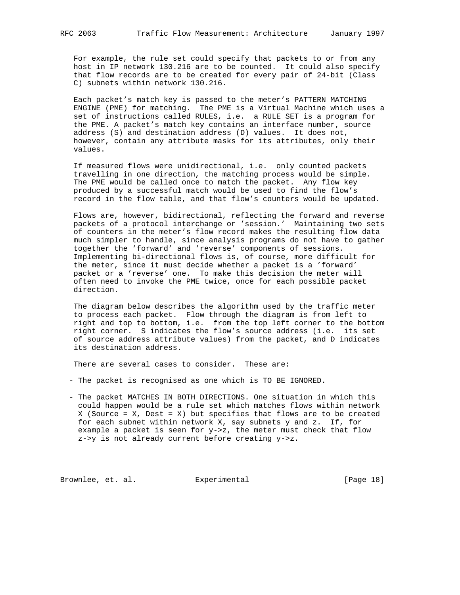For example, the rule set could specify that packets to or from any host in IP network 130.216 are to be counted. It could also specify that flow records are to be created for every pair of 24-bit (Class C) subnets within network 130.216.

 Each packet's match key is passed to the meter's PATTERN MATCHING ENGINE (PME) for matching. The PME is a Virtual Machine which uses a set of instructions called RULES, i.e. a RULE SET is a program for the PME. A packet's match key contains an interface number, source address (S) and destination address (D) values. It does not, however, contain any attribute masks for its attributes, only their values.

 If measured flows were unidirectional, i.e. only counted packets travelling in one direction, the matching process would be simple. The PME would be called once to match the packet. Any flow key produced by a successful match would be used to find the flow's record in the flow table, and that flow's counters would be updated.

 Flows are, however, bidirectional, reflecting the forward and reverse packets of a protocol interchange or 'session.' Maintaining two sets of counters in the meter's flow record makes the resulting flow data much simpler to handle, since analysis programs do not have to gather together the 'forward' and 'reverse' components of sessions. Implementing bi-directional flows is, of course, more difficult for the meter, since it must decide whether a packet is a 'forward' packet or a 'reverse' one. To make this decision the meter will often need to invoke the PME twice, once for each possible packet direction.

 The diagram below describes the algorithm used by the traffic meter to process each packet. Flow through the diagram is from left to right and top to bottom, i.e. from the top left corner to the bottom right corner. S indicates the flow's source address (i.e. its set of source address attribute values) from the packet, and D indicates its destination address.

There are several cases to consider. These are:

- The packet is recognised as one which is TO BE IGNORED.
- The packet MATCHES IN BOTH DIRECTIONS. One situation in which this could happen would be a rule set which matches flows within network X (Source =  $X$ , Dest =  $X$ ) but specifies that flows are to be created for each subnet within network X, say subnets y and z. If, for example a packet is seen for y->z, the meter must check that flow z->y is not already current before creating y->z.

Brownlee, et. al. Experimental [Page 18]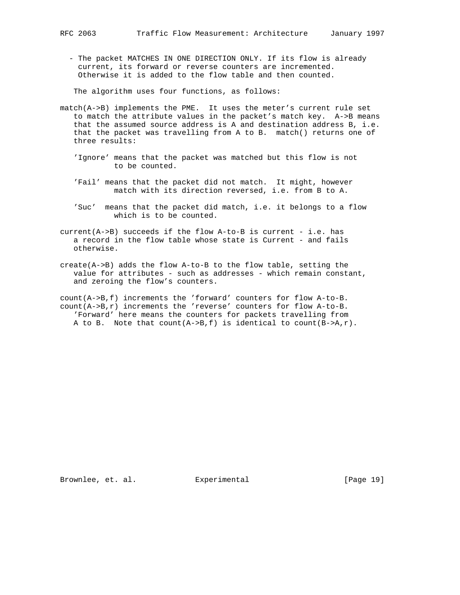- The packet MATCHES IN ONE DIRECTION ONLY. If its flow is already current, its forward or reverse counters are incremented. Otherwise it is added to the flow table and then counted.

The algorithm uses four functions, as follows:

- match(A->B) implements the PME. It uses the meter's current rule set to match the attribute values in the packet's match key. A->B means that the assumed source address is A and destination address B, i.e. that the packet was travelling from A to B. match() returns one of three results:
	- 'Ignore' means that the packet was matched but this flow is not to be counted.
	- 'Fail' means that the packet did not match. It might, however match with its direction reversed, i.e. from B to A.
	- 'Suc' means that the packet did match, i.e. it belongs to a flow which is to be counted.

current(A->B) succeeds if the flow A-to-B is current - i.e. has a record in the flow table whose state is Current - and fails otherwise.

create(A->B) adds the flow A-to-B to the flow table, setting the value for attributes - such as addresses - which remain constant, and zeroing the flow's counters.

count(A->B,f) increments the 'forward' counters for flow A-to-B. count(A->B,r) increments the 'reverse' counters for flow A-to-B. 'Forward' here means the counters for packets travelling from A to B. Note that  $count(A->B, f)$  is identical to  $count(B->A, r)$ .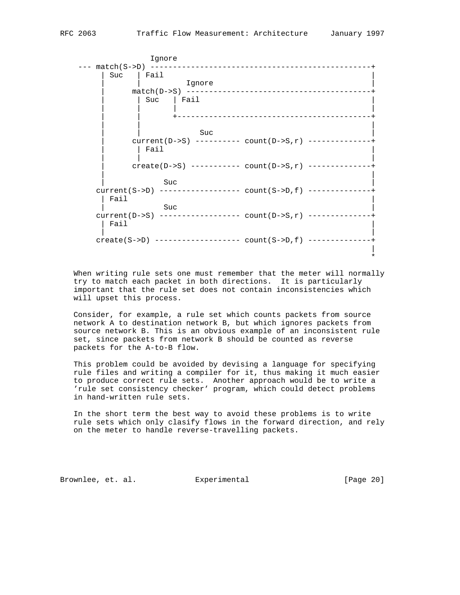|                        | Ignore                                                                  |
|------------------------|-------------------------------------------------------------------------|
| --- match(S->D)<br>Suc | Fail<br>Ignore                                                          |
|                        | $match(D->S)$                                                           |
|                        | Fail<br>Suc<br>_______________________________                          |
|                        |                                                                         |
|                        | Suc<br>current(D->S) ---------- count(D->S, r) -------------<br>Fail    |
|                        | $create(D->S)$ ---------- $count(D->S,r)$ -----------                   |
| Fail                   | Suc                                                                     |
| Fail                   | Suc<br>current $(D->S)$ ----------------- count $(D->S,r)$ ------------ |
| $create(S->D)$         | ____________                                                            |
|                        |                                                                         |

 When writing rule sets one must remember that the meter will normally try to match each packet in both directions. It is particularly important that the rule set does not contain inconsistencies which will upset this process.

 Consider, for example, a rule set which counts packets from source network A to destination network B, but which ignores packets from source network B. This is an obvious example of an inconsistent rule set, since packets from network B should be counted as reverse packets for the A-to-B flow.

 This problem could be avoided by devising a language for specifying rule files and writing a compiler for it, thus making it much easier to produce correct rule sets. Another approach would be to write a 'rule set consistency checker' program, which could detect problems in hand-written rule sets.

 In the short term the best way to avoid these problems is to write rule sets which only clasify flows in the forward direction, and rely on the meter to handle reverse-travelling packets.

Brownlee, et. al. Experimental [Page 20]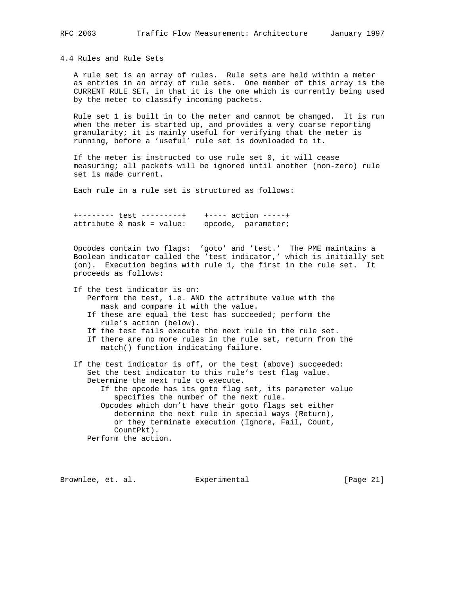4.4 Rules and Rule Sets

 A rule set is an array of rules. Rule sets are held within a meter as entries in an array of rule sets. One member of this array is the CURRENT RULE SET, in that it is the one which is currently being used by the meter to classify incoming packets.

 Rule set 1 is built in to the meter and cannot be changed. It is run when the meter is started up, and provides a very coarse reporting granularity; it is mainly useful for verifying that the meter is running, before a 'useful' rule set is downloaded to it.

 If the meter is instructed to use rule set 0, it will cease measuring; all packets will be ignored until another (non-zero) rule set is made current.

Each rule in a rule set is structured as follows:

 +-------- test ---------+ +---- action -----+ attribute & mask = value: opcode, parameter;

 Opcodes contain two flags: 'goto' and 'test.' The PME maintains a Boolean indicator called the 'test indicator,' which is initially set (on). Execution begins with rule 1, the first in the rule set. It proceeds as follows:

- If the test indicator is on:
	- Perform the test, i.e. AND the attribute value with the mask and compare it with the value.
	- If these are equal the test has succeeded; perform the rule's action (below).
	- If the test fails execute the next rule in the rule set.
	- If there are no more rules in the rule set, return from the match() function indicating failure.
- If the test indicator is off, or the test (above) succeeded: Set the test indicator to this rule's test flag value. Determine the next rule to execute.
	- If the opcode has its goto flag set, its parameter value specifies the number of the next rule.

 Opcodes which don't have their goto flags set either determine the next rule in special ways (Return), or they terminate execution (Ignore, Fail, Count, CountPkt).

Perform the action.

Brownlee, et. al. Experimental [Page 21]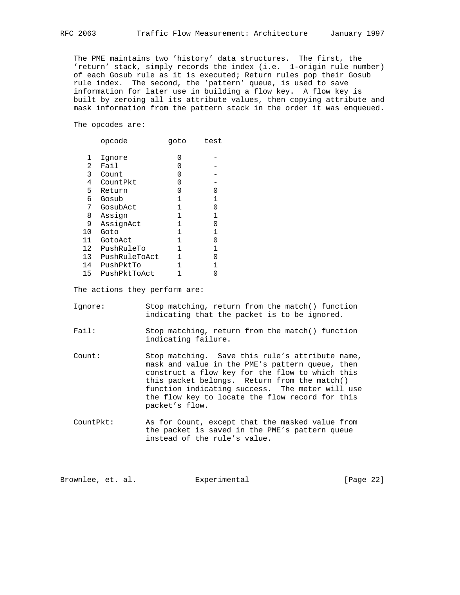The PME maintains two 'history' data structures. The first, the 'return' stack, simply records the index (i.e. 1-origin rule number) of each Gosub rule as it is executed; Return rules pop their Gosub rule index. The second, the 'pattern' queue, is used to save information for later use in building a flow key. A flow key is built by zeroing all its attribute values, then copying attribute and mask information from the pattern stack in the order it was enqueued.

The opcodes are:

|    | opcode        | goto | test         |
|----|---------------|------|--------------|
| 1  | Ignore        | 0    |              |
| 2  | Fail          | Ⴖ    |              |
| 3  | Count         | 0    |              |
| 4  | CountPkt      | 0    |              |
| 5  | Return        | 0    | 0            |
| 6  | Gosub         | 1    | $\mathbf 1$  |
| 7  | GosubAct      | 1    | 0            |
| 8  | Assign        | 1    | 1            |
| 9  | AssignAct     | 1    | 0            |
| 10 | Goto          | 1    | 1            |
| 11 | GotoAct       | 1    | 0            |
| 12 | PushRuleTo    | 1    | $\mathbf{1}$ |
| 13 | PushRuleToAct | 1    | 0            |
| 14 | PushPktTo     | 1    | 1            |
| 15 | PushPktToAct  |      |              |

The actions they perform are:

| Iqnore: |  |  |                                              |  | Stop matching, return from the match() function |
|---------|--|--|----------------------------------------------|--|-------------------------------------------------|
|         |  |  | indicating that the packet is to be ignored. |  |                                                 |

- Fail: Stop matching, return from the match() function indicating failure.
- Count: Stop matching. Save this rule's attribute name, mask and value in the PME's pattern queue, then construct a flow key for the flow to which this this packet belongs. Return from the match() function indicating success. The meter will use the flow key to locate the flow record for this packet's flow.
- CountPkt: As for Count, except that the masked value from the packet is saved in the PME's pattern queue instead of the rule's value.

| Brownlee, et. al. |  |  | Experimental | [Page 22] |  |
|-------------------|--|--|--------------|-----------|--|
|-------------------|--|--|--------------|-----------|--|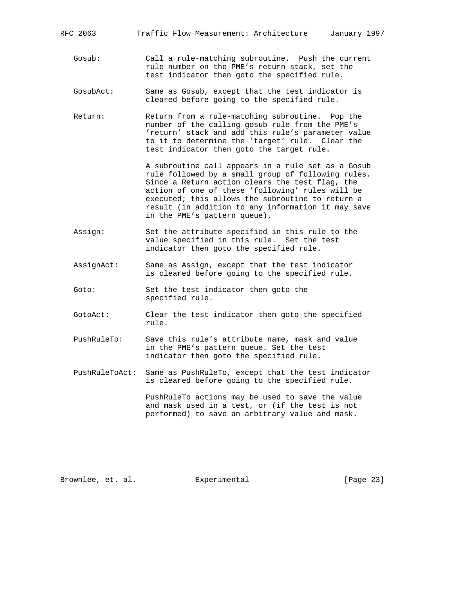Gosub: Call a rule-matching subroutine. Push the current rule number on the PME's return stack, set the test indicator then goto the specified rule.

- GosubAct: Same as Gosub, except that the test indicator is cleared before going to the specified rule.
- Return: Return from a rule-matching subroutine. Pop the number of the calling gosub rule from the PME's 'return' stack and add this rule's parameter value to it to determine the 'target' rule. Clear the test indicator then goto the target rule.

 A subroutine call appears in a rule set as a Gosub rule followed by a small group of following rules. Since a Return action clears the test flag, the action of one of these 'following' rules will be executed; this allows the subroutine to return a result (in addition to any information it may save in the PME's pattern queue).

- Assign: Set the attribute specified in this rule to the value specified in this rule. Set the test indicator then goto the specified rule.
- AssignAct: Same as Assign, except that the test indicator is cleared before going to the specified rule.
- Goto: Set the test indicator then goto the specified rule.
- GotoAct: Clear the test indicator then goto the specified rule.
- PushRuleTo: Save this rule's attribute name, mask and value in the PME's pattern queue. Set the test indicator then goto the specified rule.
- PushRuleToAct: Same as PushRuleTo, except that the test indicator is cleared before going to the specified rule.

 PushRuleTo actions may be used to save the value and mask used in a test, or (if the test is not performed) to save an arbitrary value and mask.

Brownlee, et. al. Experimental [Page 23]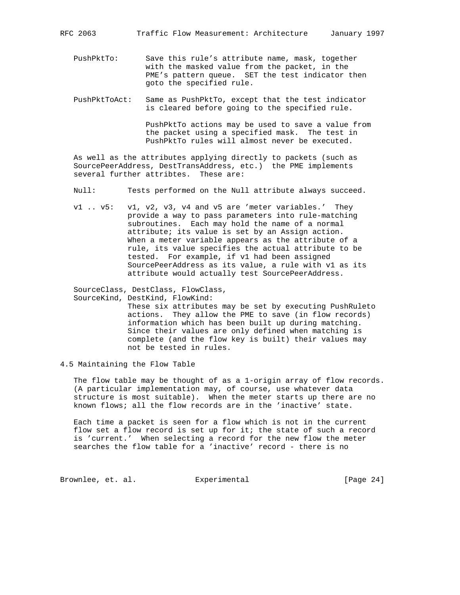PushPktTo: Save this rule's attribute name, mask, together with the masked value from the packet, in the PME's pattern queue. SET the test indicator then goto the specified rule.

 PushPktToAct: Same as PushPktTo, except that the test indicator is cleared before going to the specified rule.

> PushPktTo actions may be used to save a value from the packet using a specified mask. The test in PushPktTo rules will almost never be executed.

 As well as the attributes applying directly to packets (such as SourcePeerAddress, DestTransAddress, etc.) the PME implements several further attribtes. These are:

- Null: Tests performed on the Null attribute always succeed.
- v1 .. v5: v1, v2, v3, v4 and v5 are 'meter variables.' They provide a way to pass parameters into rule-matching subroutines. Each may hold the name of a normal attribute; its value is set by an Assign action. When a meter variable appears as the attribute of a rule, its value specifies the actual attribute to be tested. For example, if v1 had been assigned SourcePeerAddress as its value, a rule with v1 as its attribute would actually test SourcePeerAddress.

 SourceClass, DestClass, FlowClass, SourceKind, DestKind, FlowKind:

 These six attributes may be set by executing PushRuleto actions. They allow the PME to save (in flow records) information which has been built up during matching. Since their values are only defined when matching is complete (and the flow key is built) their values may not be tested in rules.

4.5 Maintaining the Flow Table

 The flow table may be thought of as a 1-origin array of flow records. (A particular implementation may, of course, use whatever data structure is most suitable). When the meter starts up there are no known flows; all the flow records are in the 'inactive' state.

 Each time a packet is seen for a flow which is not in the current flow set a flow record is set up for it; the state of such a record is 'current.' When selecting a record for the new flow the meter searches the flow table for a 'inactive' record - there is no

Brownlee, et. al. Experimental [Page 24]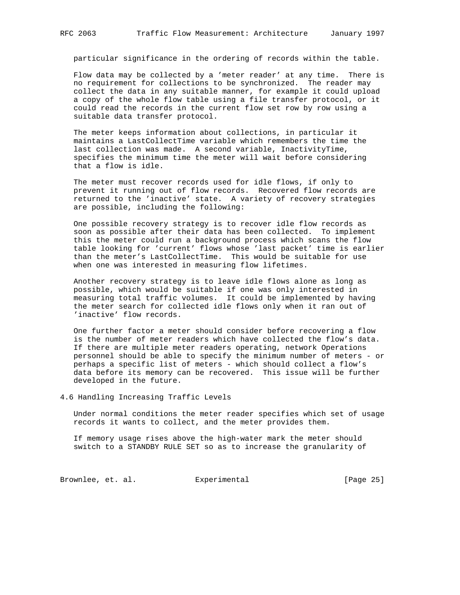particular significance in the ordering of records within the table.

 Flow data may be collected by a 'meter reader' at any time. There is no requirement for collections to be synchronized. The reader may collect the data in any suitable manner, for example it could upload a copy of the whole flow table using a file transfer protocol, or it could read the records in the current flow set row by row using a suitable data transfer protocol.

 The meter keeps information about collections, in particular it maintains a LastCollectTime variable which remembers the time the last collection was made. A second variable, InactivityTime, specifies the minimum time the meter will wait before considering that a flow is idle.

 The meter must recover records used for idle flows, if only to prevent it running out of flow records. Recovered flow records are returned to the 'inactive' state. A variety of recovery strategies are possible, including the following:

 One possible recovery strategy is to recover idle flow records as soon as possible after their data has been collected. To implement this the meter could run a background process which scans the flow table looking for 'current' flows whose 'last packet' time is earlier than the meter's LastCollectTime. This would be suitable for use when one was interested in measuring flow lifetimes.

 Another recovery strategy is to leave idle flows alone as long as possible, which would be suitable if one was only interested in measuring total traffic volumes. It could be implemented by having the meter search for collected idle flows only when it ran out of 'inactive' flow records.

 One further factor a meter should consider before recovering a flow is the number of meter readers which have collected the flow's data. If there are multiple meter readers operating, network Operations personnel should be able to specify the minimum number of meters - or perhaps a specific list of meters - which should collect a flow's data before its memory can be recovered. This issue will be further developed in the future.

4.6 Handling Increasing Traffic Levels

 Under normal conditions the meter reader specifies which set of usage records it wants to collect, and the meter provides them.

 If memory usage rises above the high-water mark the meter should switch to a STANDBY RULE SET so as to increase the granularity of

Brownlee, et. al. Experimental [Page 25]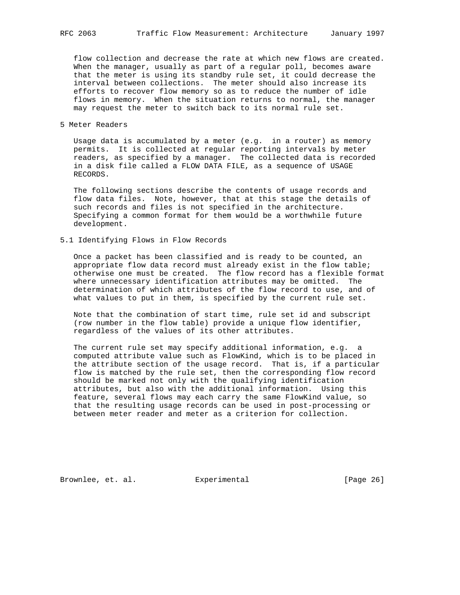flow collection and decrease the rate at which new flows are created. When the manager, usually as part of a regular poll, becomes aware that the meter is using its standby rule set, it could decrease the interval between collections. The meter should also increase its efforts to recover flow memory so as to reduce the number of idle flows in memory. When the situation returns to normal, the manager may request the meter to switch back to its normal rule set.

## 5 Meter Readers

 Usage data is accumulated by a meter (e.g. in a router) as memory permits. It is collected at regular reporting intervals by meter readers, as specified by a manager. The collected data is recorded in a disk file called a FLOW DATA FILE, as a sequence of USAGE RECORDS.

 The following sections describe the contents of usage records and flow data files. Note, however, that at this stage the details of such records and files is not specified in the architecture. Specifying a common format for them would be a worthwhile future development.

## 5.1 Identifying Flows in Flow Records

 Once a packet has been classified and is ready to be counted, an appropriate flow data record must already exist in the flow table; otherwise one must be created. The flow record has a flexible format where unnecessary identification attributes may be omitted. The determination of which attributes of the flow record to use, and of what values to put in them, is specified by the current rule set.

 Note that the combination of start time, rule set id and subscript (row number in the flow table) provide a unique flow identifier, regardless of the values of its other attributes.

 The current rule set may specify additional information, e.g. a computed attribute value such as FlowKind, which is to be placed in the attribute section of the usage record. That is, if a particular flow is matched by the rule set, then the corresponding flow record should be marked not only with the qualifying identification attributes, but also with the additional information. Using this feature, several flows may each carry the same FlowKind value, so that the resulting usage records can be used in post-processing or between meter reader and meter as a criterion for collection.

Brownlee, et. al. Experimental [Page 26]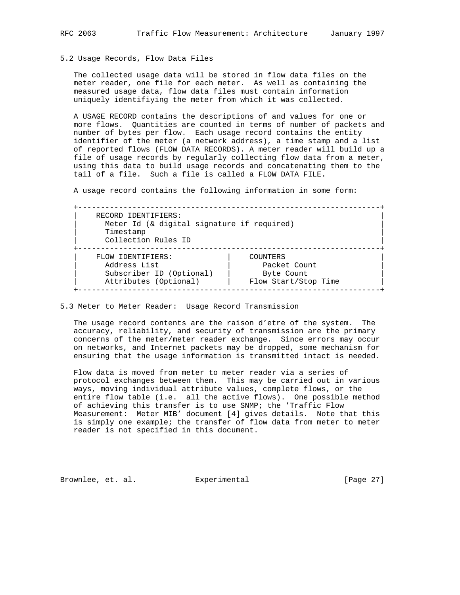## 5.2 Usage Records, Flow Data Files

 The collected usage data will be stored in flow data files on the meter reader, one file for each meter. As well as containing the measured usage data, flow data files must contain information uniquely identifiying the meter from which it was collected.

 A USAGE RECORD contains the descriptions of and values for one or more flows. Quantities are counted in terms of number of packets and number of bytes per flow. Each usage record contains the entity identifier of the meter (a network address), a time stamp and a list of reported flows (FLOW DATA RECORDS). A meter reader will build up a file of usage records by regularly collecting flow data from a meter, using this data to build usage records and concatenating them to the tail of a file. Such a file is called a FLOW DATA FILE.

A usage record contains the following information in some form:

| RECORD IDENTIFIERS:<br>Meter Id (& digital signature if required)<br>Timestamp<br>Collection Rules ID |                      |  |  |  |
|-------------------------------------------------------------------------------------------------------|----------------------|--|--|--|
| FLOW IDENTIFIERS:                                                                                     | COUNTERS             |  |  |  |
| Address List                                                                                          | Packet Count         |  |  |  |
| Subscriber ID (Optional)                                                                              | Byte Count           |  |  |  |
| Attributes (Optional)                                                                                 | Flow Start/Stop Time |  |  |  |

5.3 Meter to Meter Reader: Usage Record Transmission

 The usage record contents are the raison d'etre of the system. The accuracy, reliability, and security of transmission are the primary concerns of the meter/meter reader exchange. Since errors may occur on networks, and Internet packets may be dropped, some mechanism for ensuring that the usage information is transmitted intact is needed.

 Flow data is moved from meter to meter reader via a series of protocol exchanges between them. This may be carried out in various ways, moving individual attribute values, complete flows, or the entire flow table (i.e. all the active flows). One possible method of achieving this transfer is to use SNMP; the 'Traffic Flow Measurement: Meter MIB' document [4] gives details. Note that this is simply one example; the transfer of flow data from meter to meter reader is not specified in this document.

Brownlee, et. al. Experimental [Page 27]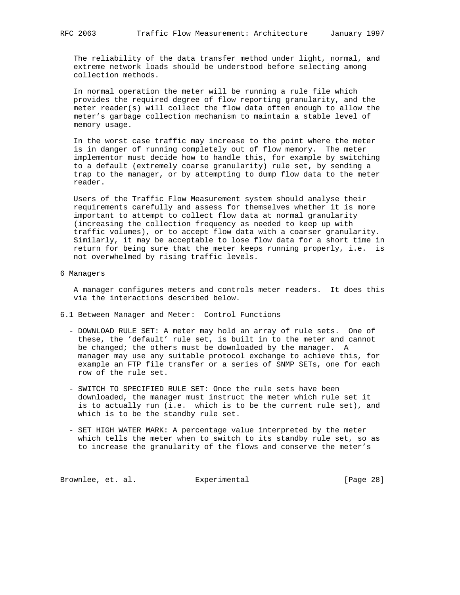The reliability of the data transfer method under light, normal, and extreme network loads should be understood before selecting among collection methods.

 In normal operation the meter will be running a rule file which provides the required degree of flow reporting granularity, and the meter reader(s) will collect the flow data often enough to allow the meter's garbage collection mechanism to maintain a stable level of memory usage.

 In the worst case traffic may increase to the point where the meter is in danger of running completely out of flow memory. The meter implementor must decide how to handle this, for example by switching to a default (extremely coarse granularity) rule set, by sending a trap to the manager, or by attempting to dump flow data to the meter reader.

 Users of the Traffic Flow Measurement system should analyse their requirements carefully and assess for themselves whether it is more important to attempt to collect flow data at normal granularity (increasing the collection frequency as needed to keep up with traffic volumes), or to accept flow data with a coarser granularity. Similarly, it may be acceptable to lose flow data for a short time in return for being sure that the meter keeps running properly, i.e. is not overwhelmed by rising traffic levels.

6 Managers

 A manager configures meters and controls meter readers. It does this via the interactions described below.

- 6.1 Between Manager and Meter: Control Functions
	- DOWNLOAD RULE SET: A meter may hold an array of rule sets. One of these, the 'default' rule set, is built in to the meter and cannot be changed; the others must be downloaded by the manager. A manager may use any suitable protocol exchange to achieve this, for example an FTP file transfer or a series of SNMP SETs, one for each row of the rule set.
	- SWITCH TO SPECIFIED RULE SET: Once the rule sets have been downloaded, the manager must instruct the meter which rule set it is to actually run (i.e. which is to be the current rule set), and which is to be the standby rule set.
	- SET HIGH WATER MARK: A percentage value interpreted by the meter which tells the meter when to switch to its standby rule set, so as to increase the granularity of the flows and conserve the meter's

Brownlee, et. al. Experimental [Page 28]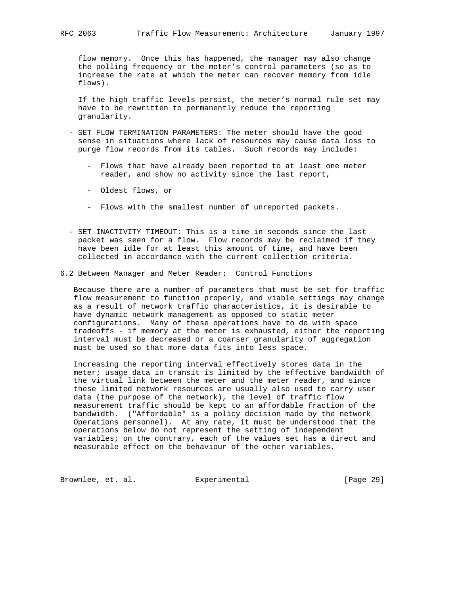flow memory. Once this has happened, the manager may also change the polling frequency or the meter's control parameters (so as to increase the rate at which the meter can recover memory from idle flows).

 If the high traffic levels persist, the meter's normal rule set may have to be rewritten to permanently reduce the reporting granularity.

- SET FLOW TERMINATION PARAMETERS: The meter should have the good sense in situations where lack of resources may cause data loss to purge flow records from its tables. Such records may include:
	- Flows that have already been reported to at least one meter reader, and show no activity since the last report,
	- Oldest flows, or
	- Flows with the smallest number of unreported packets.
- SET INACTIVITY TIMEOUT: This is a time in seconds since the last packet was seen for a flow. Flow records may be reclaimed if they have been idle for at least this amount of time, and have been collected in accordance with the current collection criteria.
- 6.2 Between Manager and Meter Reader: Control Functions

 Because there are a number of parameters that must be set for traffic flow measurement to function properly, and viable settings may change as a result of network traffic characteristics, it is desirable to have dynamic network management as opposed to static meter configurations. Many of these operations have to do with space tradeoffs - if memory at the meter is exhausted, either the reporting interval must be decreased or a coarser granularity of aggregation must be used so that more data fits into less space.

 Increasing the reporting interval effectively stores data in the meter; usage data in transit is limited by the effective bandwidth of the virtual link between the meter and the meter reader, and since these limited network resources are usually also used to carry user data (the purpose of the network), the level of traffic flow measurement traffic should be kept to an affordable fraction of the bandwidth. ("Affordable" is a policy decision made by the network Operations personnel). At any rate, it must be understood that the operations below do not represent the setting of independent variables; on the contrary, each of the values set has a direct and measurable effect on the behaviour of the other variables.

Brownlee, et. al. Experimental [Page 29]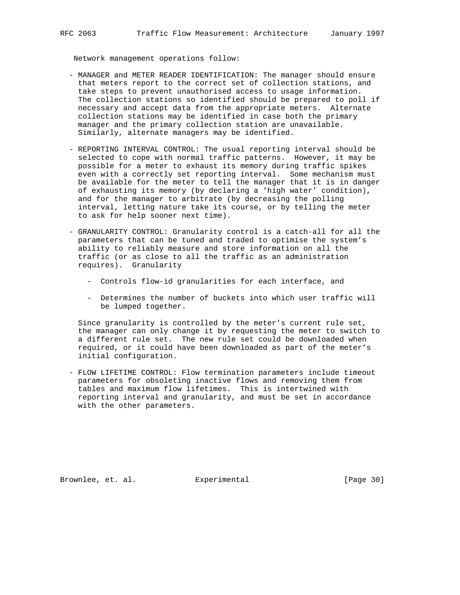Network management operations follow:

- MANAGER and METER READER IDENTIFICATION: The manager should ensure that meters report to the correct set of collection stations, and take steps to prevent unauthorised access to usage information. The collection stations so identified should be prepared to poll if necessary and accept data from the appropriate meters. Alternate collection stations may be identified in case both the primary manager and the primary collection station are unavailable. Similarly, alternate managers may be identified.
- REPORTING INTERVAL CONTROL: The usual reporting interval should be selected to cope with normal traffic patterns. However, it may be possible for a meter to exhaust its memory during traffic spikes even with a correctly set reporting interval. Some mechanism must be available for the meter to tell the manager that it is in danger of exhausting its memory (by declaring a 'high water' condition), and for the manager to arbitrate (by decreasing the polling interval, letting nature take its course, or by telling the meter to ask for help sooner next time).
- GRANULARITY CONTROL: Granularity control is a catch-all for all the parameters that can be tuned and traded to optimise the system's ability to reliably measure and store information on all the traffic (or as close to all the traffic as an administration requires). Granularity
	- Controls flow-id granularities for each interface, and
	- Determines the number of buckets into which user traffic will be lumped together.

 Since granularity is controlled by the meter's current rule set, the manager can only change it by requesting the meter to switch to a different rule set. The new rule set could be downloaded when required, or it could have been downloaded as part of the meter's initial configuration.

 - FLOW LIFETIME CONTROL: Flow termination parameters include timeout parameters for obsoleting inactive flows and removing them from tables and maximum flow lifetimes. This is intertwined with reporting interval and granularity, and must be set in accordance with the other parameters.

Brownlee, et. al. Experimental [Page 30]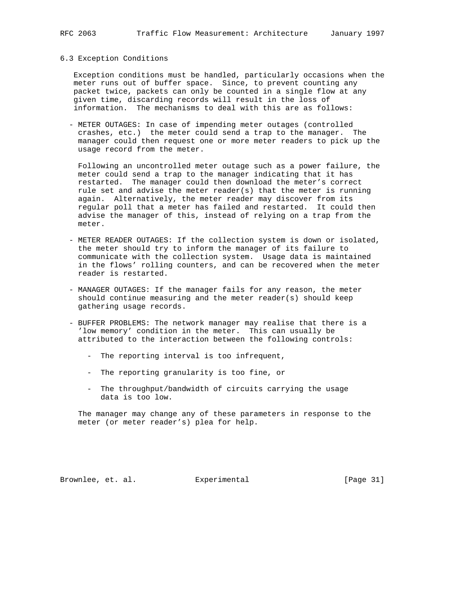#### 6.3 Exception Conditions

 Exception conditions must be handled, particularly occasions when the meter runs out of buffer space. Since, to prevent counting any packet twice, packets can only be counted in a single flow at any given time, discarding records will result in the loss of information. The mechanisms to deal with this are as follows:

 - METER OUTAGES: In case of impending meter outages (controlled crashes, etc.) the meter could send a trap to the manager. The manager could then request one or more meter readers to pick up the usage record from the meter.

 Following an uncontrolled meter outage such as a power failure, the meter could send a trap to the manager indicating that it has restarted. The manager could then download the meter's correct rule set and advise the meter reader(s) that the meter is running again. Alternatively, the meter reader may discover from its regular poll that a meter has failed and restarted. It could then advise the manager of this, instead of relying on a trap from the meter.

- METER READER OUTAGES: If the collection system is down or isolated, the meter should try to inform the manager of its failure to communicate with the collection system. Usage data is maintained in the flows' rolling counters, and can be recovered when the meter reader is restarted.
- MANAGER OUTAGES: If the manager fails for any reason, the meter should continue measuring and the meter reader(s) should keep gathering usage records.
- BUFFER PROBLEMS: The network manager may realise that there is a 'low memory' condition in the meter. This can usually be attributed to the interaction between the following controls:
	- The reporting interval is too infrequent,
	- The reporting granularity is too fine, or
	- The throughput/bandwidth of circuits carrying the usage data is too low.

 The manager may change any of these parameters in response to the meter (or meter reader's) plea for help.

Brownlee, et. al. Experimental [Page 31]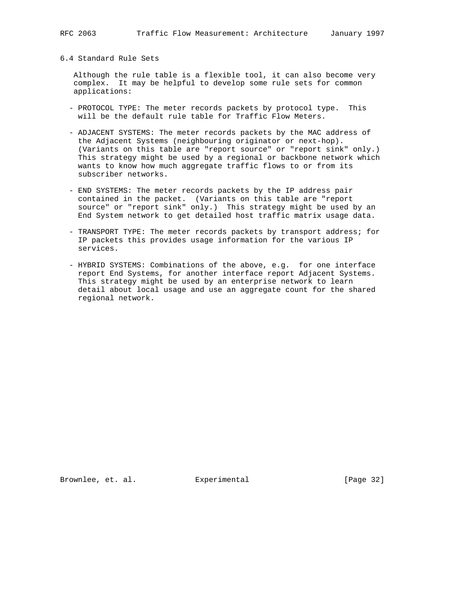6.4 Standard Rule Sets

 Although the rule table is a flexible tool, it can also become very complex. It may be helpful to develop some rule sets for common applications:

- PROTOCOL TYPE: The meter records packets by protocol type. This will be the default rule table for Traffic Flow Meters.
- ADJACENT SYSTEMS: The meter records packets by the MAC address of the Adjacent Systems (neighbouring originator or next-hop). (Variants on this table are "report source" or "report sink" only.) This strategy might be used by a regional or backbone network which wants to know how much aggregate traffic flows to or from its subscriber networks.
- END SYSTEMS: The meter records packets by the IP address pair contained in the packet. (Variants on this table are "report source" or "report sink" only.) This strategy might be used by an End System network to get detailed host traffic matrix usage data.
- TRANSPORT TYPE: The meter records packets by transport address; for IP packets this provides usage information for the various IP services.
- HYBRID SYSTEMS: Combinations of the above, e.g. for one interface report End Systems, for another interface report Adjacent Systems. This strategy might be used by an enterprise network to learn detail about local usage and use an aggregate count for the shared regional network.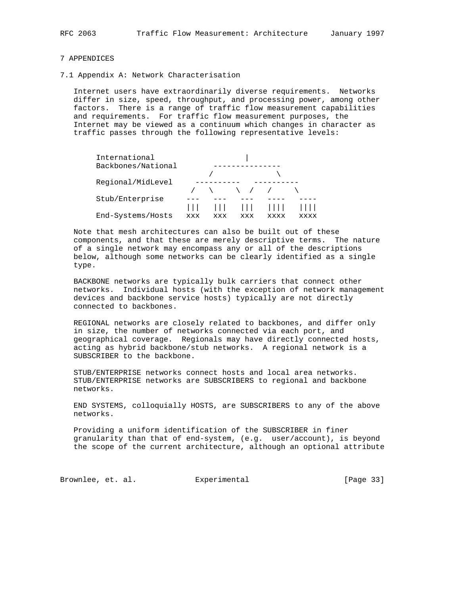# 7 APPENDICES

7.1 Appendix A: Network Characterisation

 Internet users have extraordinarily diverse requirements. Networks differ in size, speed, throughput, and processing power, among other factors. There is a range of traffic flow measurement capabilities and requirements. For traffic flow measurement purposes, the Internet may be viewed as a continuum which changes in character as traffic passes through the following representative levels:

| International      |     |     |                                                           |      |      |
|--------------------|-----|-----|-----------------------------------------------------------|------|------|
| Backbones/National |     |     |                                                           |      |      |
|                    |     |     |                                                           |      |      |
| Regional/MidLevel  |     |     |                                                           |      |      |
|                    |     |     | $\left\langle \begin{array}{c} \end{array} \right\rangle$ |      |      |
| Stub/Enterprise    |     |     |                                                           |      |      |
|                    |     |     |                                                           |      |      |
| End-Systems/Hosts  | xxx | xxx | xxx                                                       | xxxx | xxxx |

 Note that mesh architectures can also be built out of these components, and that these are merely descriptive terms. The nature of a single network may encompass any or all of the descriptions below, although some networks can be clearly identified as a single type.

 BACKBONE networks are typically bulk carriers that connect other networks. Individual hosts (with the exception of network management devices and backbone service hosts) typically are not directly connected to backbones.

 REGIONAL networks are closely related to backbones, and differ only in size, the number of networks connected via each port, and geographical coverage. Regionals may have directly connected hosts, acting as hybrid backbone/stub networks. A regional network is a SUBSCRIBER to the backbone.

 STUB/ENTERPRISE networks connect hosts and local area networks. STUB/ENTERPRISE networks are SUBSCRIBERS to regional and backbone networks.

 END SYSTEMS, colloquially HOSTS, are SUBSCRIBERS to any of the above networks.

 Providing a uniform identification of the SUBSCRIBER in finer granularity than that of end-system, (e.g. user/account), is beyond the scope of the current architecture, although an optional attribute

Brownlee, et. al. **Experimental** [Page 33]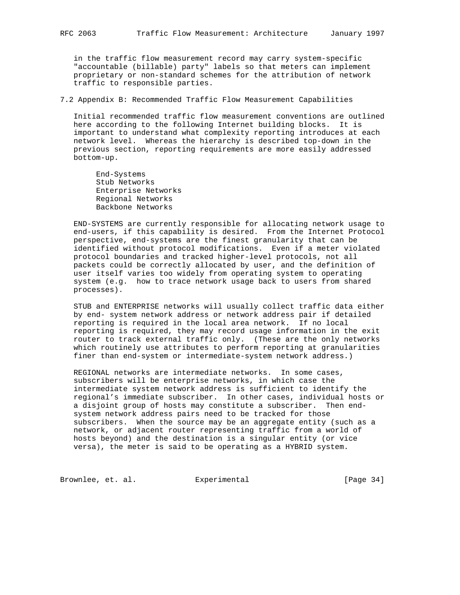in the traffic flow measurement record may carry system-specific "accountable (billable) party" labels so that meters can implement proprietary or non-standard schemes for the attribution of network traffic to responsible parties.

7.2 Appendix B: Recommended Traffic Flow Measurement Capabilities

 Initial recommended traffic flow measurement conventions are outlined here according to the following Internet building blocks. It is important to understand what complexity reporting introduces at each network level. Whereas the hierarchy is described top-down in the previous section, reporting requirements are more easily addressed bottom-up.

 End-Systems Stub Networks Enterprise Networks Regional Networks Backbone Networks

 END-SYSTEMS are currently responsible for allocating network usage to end-users, if this capability is desired. From the Internet Protocol perspective, end-systems are the finest granularity that can be identified without protocol modifications. Even if a meter violated protocol boundaries and tracked higher-level protocols, not all packets could be correctly allocated by user, and the definition of user itself varies too widely from operating system to operating system (e.g. how to trace network usage back to users from shared processes).

 STUB and ENTERPRISE networks will usually collect traffic data either by end- system network address or network address pair if detailed reporting is required in the local area network. If no local reporting is required, they may record usage information in the exit router to track external traffic only. (These are the only networks which routinely use attributes to perform reporting at granularities finer than end-system or intermediate-system network address.)

 REGIONAL networks are intermediate networks. In some cases, subscribers will be enterprise networks, in which case the intermediate system network address is sufficient to identify the regional's immediate subscriber. In other cases, individual hosts or a disjoint group of hosts may constitute a subscriber. Then end system network address pairs need to be tracked for those subscribers. When the source may be an aggregate entity (such as a network, or adjacent router representing traffic from a world of hosts beyond) and the destination is a singular entity (or vice versa), the meter is said to be operating as a HYBRID system.

Brownlee, et. al. Experimental [Page 34]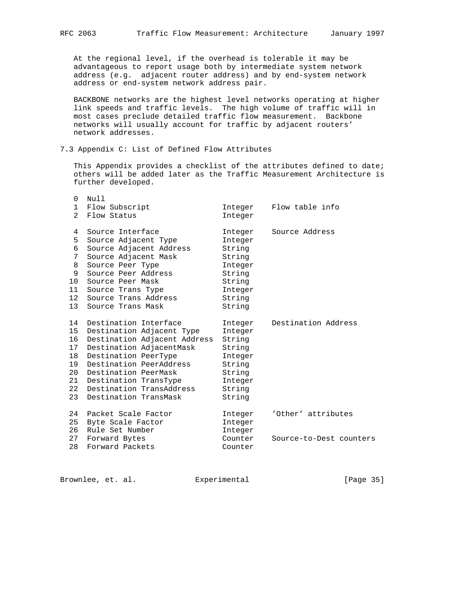At the regional level, if the overhead is tolerable it may be advantageous to report usage both by intermediate system network address (e.g. adjacent router address) and by end-system network address or end-system network address pair.

 BACKBONE networks are the highest level networks operating at higher link speeds and traffic levels. The high volume of traffic will in most cases preclude detailed traffic flow measurement. Backbone networks will usually account for traffic by adjacent routers' network addresses.

# 7.3 Appendix C: List of Defined Flow Attributes

 This Appendix provides a checklist of the attributes defined to date; others will be added later as the Traffic Measurement Architecture is further developed.

| $\Omega$        | Null                         |         |                         |
|-----------------|------------------------------|---------|-------------------------|
| $\mathbf{1}$    | Flow Subscript               | Integer | Flow table info         |
| $\mathfrak{D}$  | Flow Status                  | Integer |                         |
| 4               | Source Interface             | Integer | Source Address          |
| 5               | Source Adjacent Type         | Integer |                         |
| 6               | Source Adjacent Address      | String  |                         |
| 7               | Source Adjacent Mask         | String  |                         |
| 8               | Source Peer Type             | Integer |                         |
| 9               | Source Peer Address          | String  |                         |
| 10 <sup>1</sup> | Source Peer Mask             | String  |                         |
| 11              | Source Trans Type            | Integer |                         |
| 12              | Source Trans Address         | String  |                         |
| 13 <sup>7</sup> | Source Trans Mask            | String  |                         |
| 14              | Destination Interface        | Integer | Destination Address     |
| 15              | Destination Adjacent Type    | Integer |                         |
| 16              | Destination Adjacent Address | String  |                         |
| 17              | Destination AdjacentMask     | String  |                         |
| 18              | Destination PeerType         | Integer |                         |
| 19              | Destination PeerAddress      | String  |                         |
| 20              | Destination PeerMask         | String  |                         |
| 21              | Destination TransType        | Integer |                         |
| 22              | Destination TransAddress     | String  |                         |
| 23              | Destination TransMask        | String  |                         |
| 24              | Packet Scale Factor          | Integer | 'Other' attributes      |
| 25              | Byte Scale Factor            | Integer |                         |
| 26              | Rule Set Number              | Integer |                         |
| 27              | Forward Bytes                | Counter | Source-to-Dest counters |
| 28              | Forward Packets              | Counter |                         |
|                 |                              |         |                         |

Brownlee, et. al. Experimental [Page 35]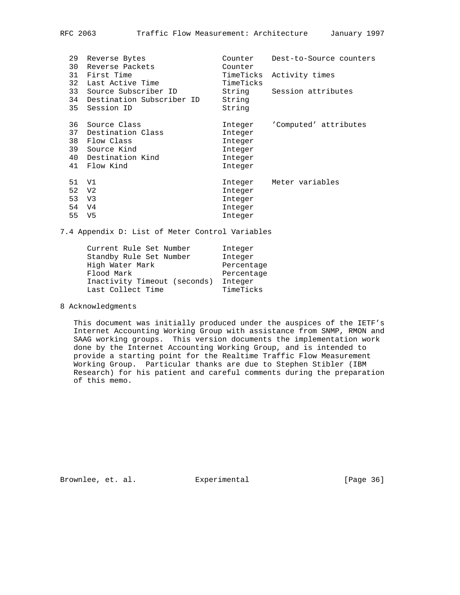| 29<br>30<br>31<br>34<br>35 | Reverse Bytes<br>Reverse Packets<br>First Time<br>32 Last Active Time<br>33 Source Subscriber ID<br>Destination Subscriber ID<br>Session ID | Counter<br>Counter<br>TimeTicks<br>TimeTicks<br>String<br>String<br>String | Dest-to-Source counters<br>Activity times<br>Session attributes |
|----------------------------|---------------------------------------------------------------------------------------------------------------------------------------------|----------------------------------------------------------------------------|-----------------------------------------------------------------|
| 36<br>37<br>38<br>39<br>41 | Source Class<br>Destination Class<br>Flow Class<br>Source Kind<br>40 Destination Kind<br>Flow Kind                                          | Integer<br>Integer<br>Integer<br>Integer<br>Integer<br>Integer             | 'Computed' attributes                                           |
| 51<br>55                   | V1<br>52 V <sub>2</sub><br>53 V3<br>54 V4<br>V5                                                                                             | Integer<br>Integer<br>Integer<br>Integer<br>Integer                        | Meter variables                                                 |

7.4 Appendix D: List of Meter Control Variables

| Current Rule Set Number      | Integer    |
|------------------------------|------------|
| Standby Rule Set Number      | Integer    |
| High Water Mark              | Percentage |
| Flood Mark                   | Percentage |
| Inactivity Timeout (seconds) | Integer    |
| Last Collect Time            | TimeTicks  |

### 8 Acknowledgments

 This document was initially produced under the auspices of the IETF's Internet Accounting Working Group with assistance from SNMP, RMON and SAAG working groups. This version documents the implementation work done by the Internet Accounting Working Group, and is intended to provide a starting point for the Realtime Traffic Flow Measurement Working Group. Particular thanks are due to Stephen Stibler (IBM Research) for his patient and careful comments during the preparation of this memo.

Brownlee, et. al. Experimental [Page 36]